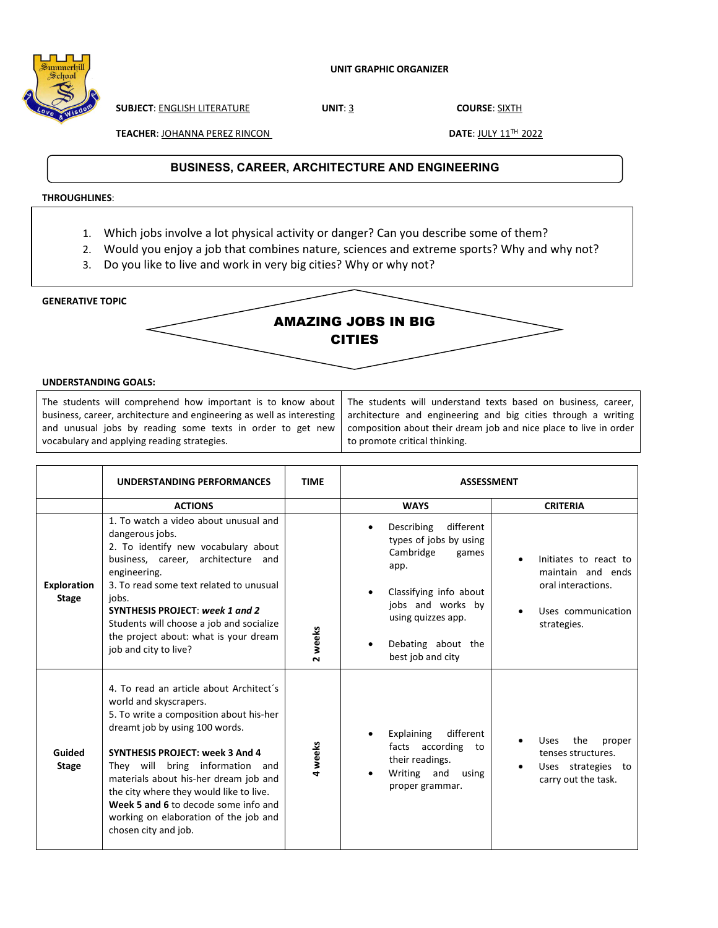

**SUBJECT**: ENGLISH LITERATURE **UNIT**: 3 **COURSE**: SIXTH

**TEACHER: JOHANNA PEREZ RINCON CONTRACTED BY A DATE: JULY 11<sup>TH</sup> 2022** 

## **TITLE**: **BUSINESS, CAREER, ARCHITECTURE AND ENGINEERING**

## **THROUGHLINES**:

- 1. Which jobs involve a lot physical activity or danger? Can you describe some of them?
- 2. Would you enjoy a job that combines nature, sciences and extreme sports? Why and why not?
- 3. Do you like to live and work in very big cities? Why or why not?

**GENERATIVE TOPIC** 



## **UNDERSTANDING GOALS:**

The students will comprehend how important is to know about business, career, architecture and engineering as well as interesting and unusual jobs by reading some texts in order to get new vocabulary and applying reading strategies.

The students will understand texts based on business, career, architecture and engineering and big cities through a writing composition about their dream job and nice place to live in order to promote critical thinking.

|                                    | UNDERSTANDING PERFORMANCES                                                                                                                                                                                                                                                                                                                                                                                               | <b>TIME</b> | <b>ASSESSMENT</b>                                                                                                                                                                               |                                                                                                       |  |  |
|------------------------------------|--------------------------------------------------------------------------------------------------------------------------------------------------------------------------------------------------------------------------------------------------------------------------------------------------------------------------------------------------------------------------------------------------------------------------|-------------|-------------------------------------------------------------------------------------------------------------------------------------------------------------------------------------------------|-------------------------------------------------------------------------------------------------------|--|--|
|                                    | <b>ACTIONS</b>                                                                                                                                                                                                                                                                                                                                                                                                           |             | <b>WAYS</b>                                                                                                                                                                                     | <b>CRITERIA</b>                                                                                       |  |  |
| <b>Exploration</b><br><b>Stage</b> | 1. To watch a video about unusual and<br>dangerous jobs.<br>2. To identify new vocabulary about<br>business, career, architecture and<br>engineering.<br>3. To read some text related to unusual<br>jobs.<br>SYNTHESIS PROJECT: week 1 and 2<br>Students will choose a job and socialize<br>the project about: what is your dream<br>job and city to live?                                                               | 2 weeks     | Describing<br>different<br>types of jobs by using<br>Cambridge<br>games<br>app.<br>Classifying info about<br>jobs and works by<br>using quizzes app.<br>Debating about the<br>best job and city | Initiates to react to<br>maintain and ends<br>oral interactions.<br>Uses communication<br>strategies. |  |  |
| Guided<br><b>Stage</b>             | 4. To read an article about Architect's<br>world and skyscrapers.<br>5. To write a composition about his-her<br>dreamt job by using 100 words.<br><b>SYNTHESIS PROJECT: week 3 And 4</b><br>They will bring information and<br>materials about his-her dream job and<br>the city where they would like to live.<br>Week 5 and 6 to decode some info and<br>working on elaboration of the job and<br>chosen city and job. | 4 weeks     | different<br>Explaining<br>facts according<br>to<br>their readings.<br>Writing and<br>using<br>proper grammar.                                                                                  | the<br><b>Uses</b><br>proper<br>tenses structures.<br>Uses strategies to<br>carry out the task.       |  |  |